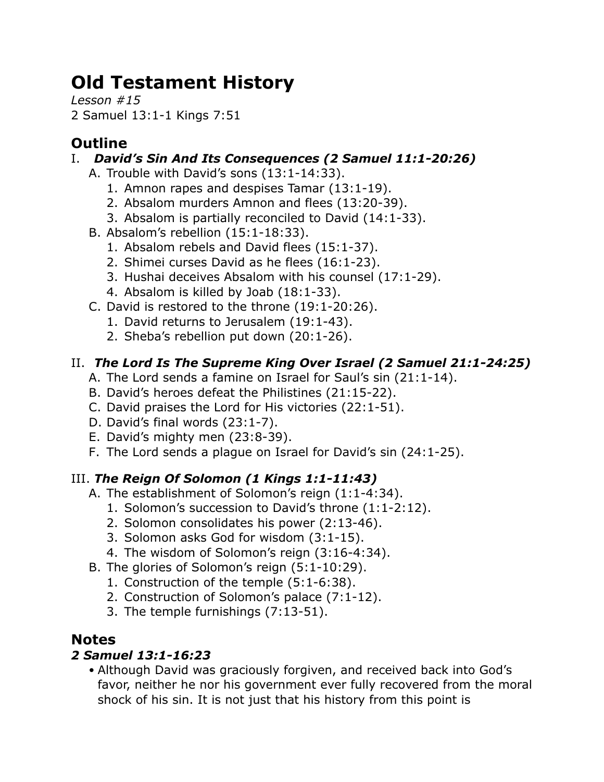# **Old Testament History**

*Lesson #15* 2 Samuel 13:1-1 Kings 7:51

## **Outline**

## I. *David's Sin And Its Consequences (2 Samuel 11:1-20:26)*

- A. Trouble with David's sons (13:1-14:33).
	- 1. Amnon rapes and despises Tamar (13:1-19).
	- 2. Absalom murders Amnon and flees (13:20-39).
	- 3. Absalom is partially reconciled to David (14:1-33).
- B. Absalom's rebellion (15:1-18:33).
	- 1. Absalom rebels and David flees (15:1-37).
	- 2. Shimei curses David as he flees (16:1-23).
	- 3. Hushai deceives Absalom with his counsel (17:1-29).
	- 4. Absalom is killed by Joab (18:1-33).
- C. David is restored to the throne (19:1-20:26).
	- 1. David returns to Jerusalem (19:1-43).
	- 2. Sheba's rebellion put down (20:1-26).

## II. *The Lord Is The Supreme King Over Israel (2 Samuel 21:1-24:25)*

- A. The Lord sends a famine on Israel for Saul's sin (21:1-14).
- B. David's heroes defeat the Philistines (21:15-22).
- C. David praises the Lord for His victories (22:1-51).
- D. David's final words (23:1-7).
- E. David's mighty men (23:8-39).
- F. The Lord sends a plague on Israel for David's sin (24:1-25).

## III. *The Reign Of Solomon (1 Kings 1:1-11:43)*

- A. The establishment of Solomon's reign (1:1-4:34).
	- 1. Solomon's succession to David's throne (1:1-2:12).
	- 2. Solomon consolidates his power (2:13-46).
	- 3. Solomon asks God for wisdom (3:1-15).
	- 4. The wisdom of Solomon's reign (3:16-4:34).
- B. The glories of Solomon's reign (5:1-10:29).
	- 1. Construction of the temple (5:1-6:38).
	- 2. Construction of Solomon's palace (7:1-12).
	- 3. The temple furnishings (7:13-51).

## **Notes**

## *2 Samuel 13:1-16:23*

• Although David was graciously forgiven, and received back into God's favor, neither he nor his government ever fully recovered from the moral shock of his sin. It is not just that his history from this point is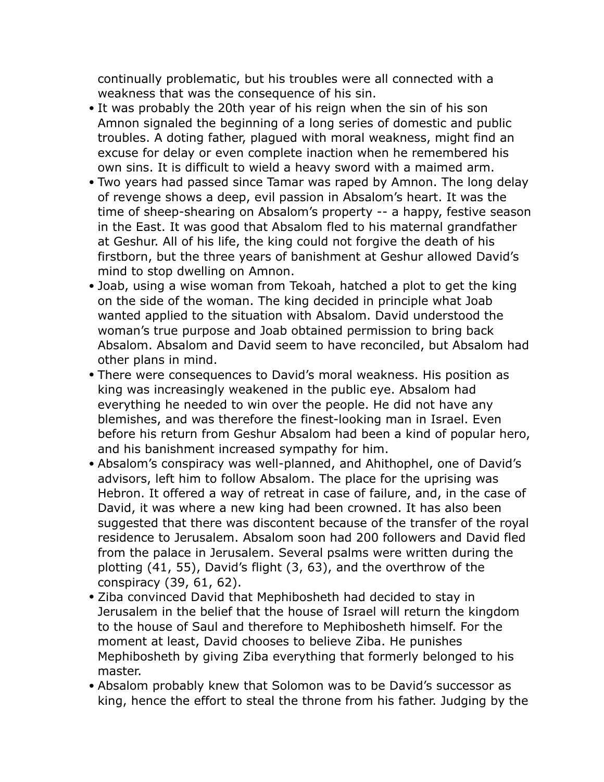continually problematic, but his troubles were all connected with a weakness that was the consequence of his sin.

- It was probably the 20th year of his reign when the sin of his son Amnon signaled the beginning of a long series of domestic and public troubles. A doting father, plagued with moral weakness, might find an excuse for delay or even complete inaction when he remembered his own sins. It is difficult to wield a heavy sword with a maimed arm.
- Two years had passed since Tamar was raped by Amnon. The long delay of revenge shows a deep, evil passion in Absalom's heart. It was the time of sheep-shearing on Absalom's property -- a happy, festive season in the East. It was good that Absalom fled to his maternal grandfather at Geshur. All of his life, the king could not forgive the death of his firstborn, but the three years of banishment at Geshur allowed David's mind to stop dwelling on Amnon.
- Joab, using a wise woman from Tekoah, hatched a plot to get the king on the side of the woman. The king decided in principle what Joab wanted applied to the situation with Absalom. David understood the woman's true purpose and Joab obtained permission to bring back Absalom. Absalom and David seem to have reconciled, but Absalom had other plans in mind.
- There were consequences to David's moral weakness. His position as king was increasingly weakened in the public eye. Absalom had everything he needed to win over the people. He did not have any blemishes, and was therefore the finest-looking man in Israel. Even before his return from Geshur Absalom had been a kind of popular hero, and his banishment increased sympathy for him.
- Absalom's conspiracy was well-planned, and Ahithophel, one of David's advisors, left him to follow Absalom. The place for the uprising was Hebron. It offered a way of retreat in case of failure, and, in the case of David, it was where a new king had been crowned. It has also been suggested that there was discontent because of the transfer of the royal residence to Jerusalem. Absalom soon had 200 followers and David fled from the palace in Jerusalem. Several psalms were written during the plotting (41, 55), David's flight (3, 63), and the overthrow of the conspiracy (39, 61, 62).
- Ziba convinced David that Mephibosheth had decided to stay in Jerusalem in the belief that the house of Israel will return the kingdom to the house of Saul and therefore to Mephibosheth himself. For the moment at least, David chooses to believe Ziba. He punishes Mephibosheth by giving Ziba everything that formerly belonged to his master.
- Absalom probably knew that Solomon was to be David's successor as king, hence the effort to steal the throne from his father. Judging by the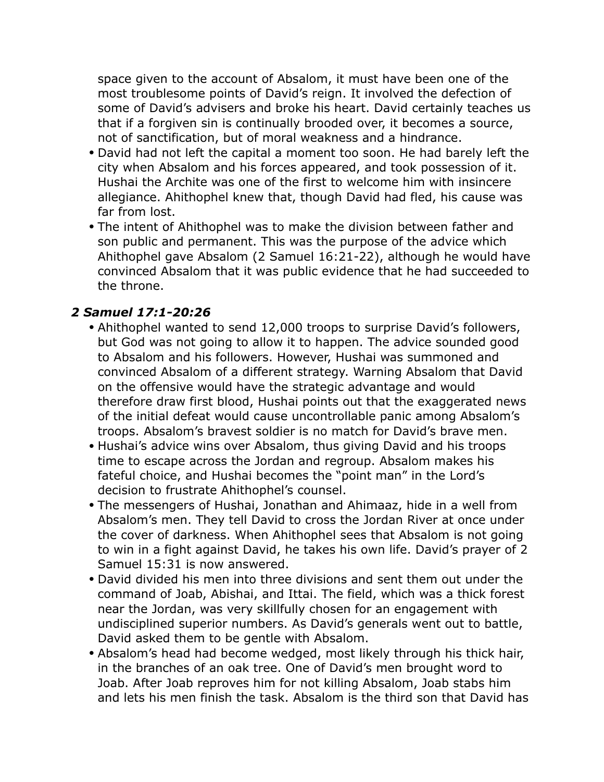space given to the account of Absalom, it must have been one of the most troublesome points of David's reign. It involved the defection of some of David's advisers and broke his heart. David certainly teaches us that if a forgiven sin is continually brooded over, it becomes a source, not of sanctification, but of moral weakness and a hindrance.

- David had not left the capital a moment too soon. He had barely left the city when Absalom and his forces appeared, and took possession of it. Hushai the Archite was one of the first to welcome him with insincere allegiance. Ahithophel knew that, though David had fled, his cause was far from lost.
- The intent of Ahithophel was to make the division between father and son public and permanent. This was the purpose of the advice which Ahithophel gave Absalom (2 Samuel 16:21-22), although he would have convinced Absalom that it was public evidence that he had succeeded to the throne.

#### *2 Samuel 17:1-20:26*

- Ahithophel wanted to send 12,000 troops to surprise David's followers, but God was not going to allow it to happen. The advice sounded good to Absalom and his followers. However, Hushai was summoned and convinced Absalom of a different strategy. Warning Absalom that David on the offensive would have the strategic advantage and would therefore draw first blood, Hushai points out that the exaggerated news of the initial defeat would cause uncontrollable panic among Absalom's troops. Absalom's bravest soldier is no match for David's brave men.
- Hushai's advice wins over Absalom, thus giving David and his troops time to escape across the Jordan and regroup. Absalom makes his fateful choice, and Hushai becomes the "point man" in the Lord's decision to frustrate Ahithophel's counsel.
- The messengers of Hushai, Jonathan and Ahimaaz, hide in a well from Absalom's men. They tell David to cross the Jordan River at once under the cover of darkness. When Ahithophel sees that Absalom is not going to win in a fight against David, he takes his own life. David's prayer of 2 Samuel 15:31 is now answered.
- David divided his men into three divisions and sent them out under the command of Joab, Abishai, and Ittai. The field, which was a thick forest near the Jordan, was very skillfully chosen for an engagement with undisciplined superior numbers. As David's generals went out to battle, David asked them to be gentle with Absalom.
- Absalom's head had become wedged, most likely through his thick hair, in the branches of an oak tree. One of David's men brought word to Joab. After Joab reproves him for not killing Absalom, Joab stabs him and lets his men finish the task. Absalom is the third son that David has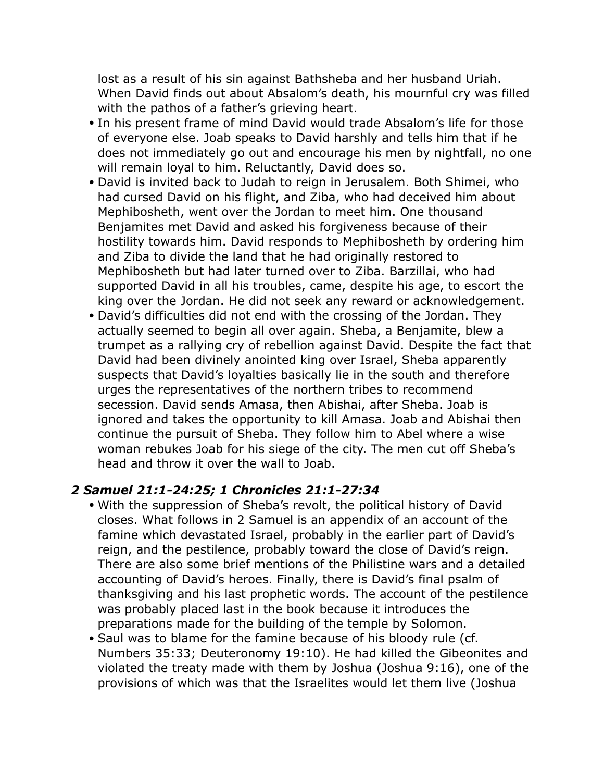lost as a result of his sin against Bathsheba and her husband Uriah. When David finds out about Absalom's death, his mournful cry was filled with the pathos of a father's grieving heart.

- In his present frame of mind David would trade Absalom's life for those of everyone else. Joab speaks to David harshly and tells him that if he does not immediately go out and encourage his men by nightfall, no one will remain loyal to him. Reluctantly, David does so.
- David is invited back to Judah to reign in Jerusalem. Both Shimei, who had cursed David on his flight, and Ziba, who had deceived him about Mephibosheth, went over the Jordan to meet him. One thousand Benjamites met David and asked his forgiveness because of their hostility towards him. David responds to Mephibosheth by ordering him and Ziba to divide the land that he had originally restored to Mephibosheth but had later turned over to Ziba. Barzillai, who had supported David in all his troubles, came, despite his age, to escort the king over the Jordan. He did not seek any reward or acknowledgement.
- David's difficulties did not end with the crossing of the Jordan. They actually seemed to begin all over again. Sheba, a Benjamite, blew a trumpet as a rallying cry of rebellion against David. Despite the fact that David had been divinely anointed king over Israel, Sheba apparently suspects that David's loyalties basically lie in the south and therefore urges the representatives of the northern tribes to recommend secession. David sends Amasa, then Abishai, after Sheba. Joab is ignored and takes the opportunity to kill Amasa. Joab and Abishai then continue the pursuit of Sheba. They follow him to Abel where a wise woman rebukes Joab for his siege of the city. The men cut off Sheba's head and throw it over the wall to Joab.

#### *2 Samuel 21:1-24:25; 1 Chronicles 21:1-27:34*

- With the suppression of Sheba's revolt, the political history of David closes. What follows in 2 Samuel is an appendix of an account of the famine which devastated Israel, probably in the earlier part of David's reign, and the pestilence, probably toward the close of David's reign. There are also some brief mentions of the Philistine wars and a detailed accounting of David's heroes. Finally, there is David's final psalm of thanksgiving and his last prophetic words. The account of the pestilence was probably placed last in the book because it introduces the preparations made for the building of the temple by Solomon.
- Saul was to blame for the famine because of his bloody rule (cf. Numbers 35:33; Deuteronomy 19:10). He had killed the Gibeonites and violated the treaty made with them by Joshua (Joshua 9:16), one of the provisions of which was that the Israelites would let them live (Joshua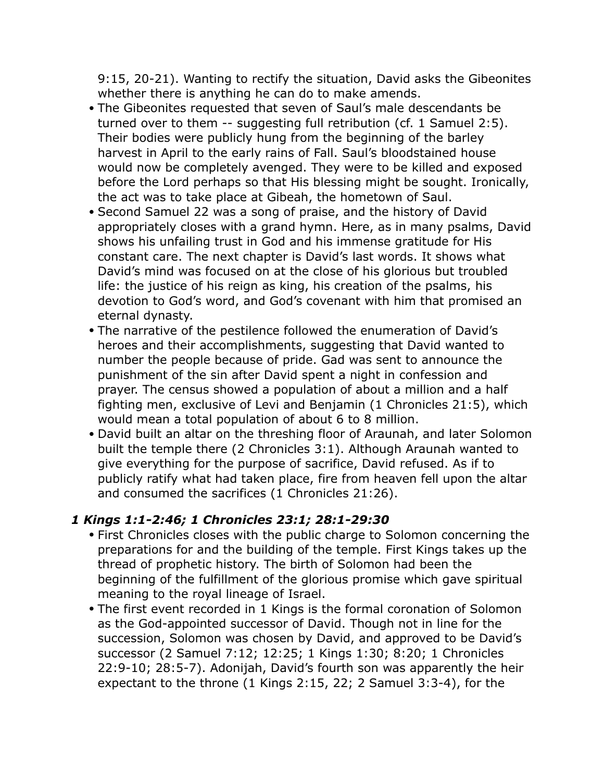9:15, 20-21). Wanting to rectify the situation, David asks the Gibeonites whether there is anything he can do to make amends.

- The Gibeonites requested that seven of Saul's male descendants be turned over to them -- suggesting full retribution (cf. 1 Samuel 2:5). Their bodies were publicly hung from the beginning of the barley harvest in April to the early rains of Fall. Saul's bloodstained house would now be completely avenged. They were to be killed and exposed before the Lord perhaps so that His blessing might be sought. Ironically, the act was to take place at Gibeah, the hometown of Saul.
- Second Samuel 22 was a song of praise, and the history of David appropriately closes with a grand hymn. Here, as in many psalms, David shows his unfailing trust in God and his immense gratitude for His constant care. The next chapter is David's last words. It shows what David's mind was focused on at the close of his glorious but troubled life: the justice of his reign as king, his creation of the psalms, his devotion to God's word, and God's covenant with him that promised an eternal dynasty.
- The narrative of the pestilence followed the enumeration of David's heroes and their accomplishments, suggesting that David wanted to number the people because of pride. Gad was sent to announce the punishment of the sin after David spent a night in confession and prayer. The census showed a population of about a million and a half fighting men, exclusive of Levi and Benjamin (1 Chronicles 21:5), which would mean a total population of about 6 to 8 million.
- David built an altar on the threshing floor of Araunah, and later Solomon built the temple there (2 Chronicles 3:1). Although Araunah wanted to give everything for the purpose of sacrifice, David refused. As if to publicly ratify what had taken place, fire from heaven fell upon the altar and consumed the sacrifices (1 Chronicles 21:26).

#### *1 Kings 1:1-2:46; 1 Chronicles 23:1; 28:1-29:30*

- First Chronicles closes with the public charge to Solomon concerning the preparations for and the building of the temple. First Kings takes up the thread of prophetic history. The birth of Solomon had been the beginning of the fulfillment of the glorious promise which gave spiritual meaning to the royal lineage of Israel.
- The first event recorded in 1 Kings is the formal coronation of Solomon as the God-appointed successor of David. Though not in line for the succession, Solomon was chosen by David, and approved to be David's successor (2 Samuel 7:12; 12:25; 1 Kings 1:30; 8:20; 1 Chronicles 22:9-10; 28:5-7). Adonijah, David's fourth son was apparently the heir expectant to the throne (1 Kings 2:15, 22; 2 Samuel 3:3-4), for the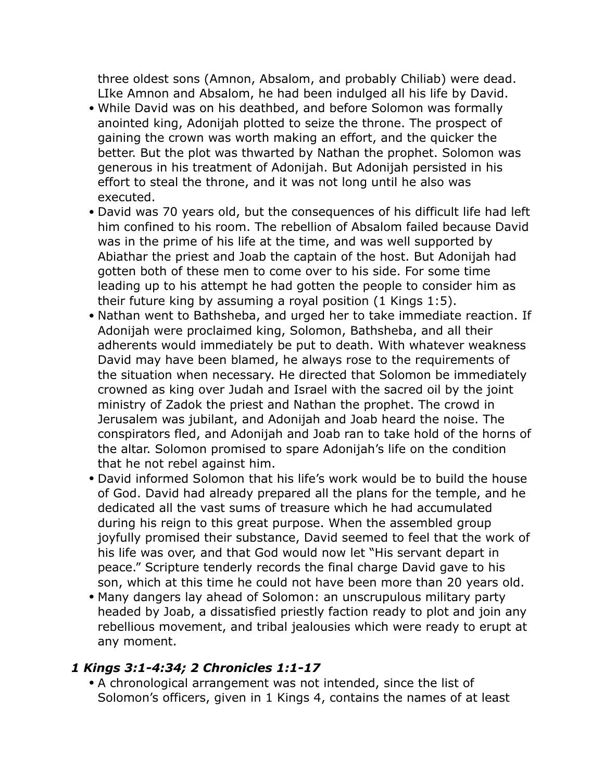three oldest sons (Amnon, Absalom, and probably Chiliab) were dead. LIke Amnon and Absalom, he had been indulged all his life by David.

- While David was on his deathbed, and before Solomon was formally anointed king, Adonijah plotted to seize the throne. The prospect of gaining the crown was worth making an effort, and the quicker the better. But the plot was thwarted by Nathan the prophet. Solomon was generous in his treatment of Adonijah. But Adonijah persisted in his effort to steal the throne, and it was not long until he also was executed.
- David was 70 years old, but the consequences of his difficult life had left him confined to his room. The rebellion of Absalom failed because David was in the prime of his life at the time, and was well supported by Abiathar the priest and Joab the captain of the host. But Adonijah had gotten both of these men to come over to his side. For some time leading up to his attempt he had gotten the people to consider him as their future king by assuming a royal position (1 Kings 1:5).
- Nathan went to Bathsheba, and urged her to take immediate reaction. If Adonijah were proclaimed king, Solomon, Bathsheba, and all their adherents would immediately be put to death. With whatever weakness David may have been blamed, he always rose to the requirements of the situation when necessary. He directed that Solomon be immediately crowned as king over Judah and Israel with the sacred oil by the joint ministry of Zadok the priest and Nathan the prophet. The crowd in Jerusalem was jubilant, and Adonijah and Joab heard the noise. The conspirators fled, and Adonijah and Joab ran to take hold of the horns of the altar. Solomon promised to spare Adonijah's life on the condition that he not rebel against him.
- David informed Solomon that his life's work would be to build the house of God. David had already prepared all the plans for the temple, and he dedicated all the vast sums of treasure which he had accumulated during his reign to this great purpose. When the assembled group joyfully promised their substance, David seemed to feel that the work of his life was over, and that God would now let "His servant depart in peace." Scripture tenderly records the final charge David gave to his son, which at this time he could not have been more than 20 years old.
- Many dangers lay ahead of Solomon: an unscrupulous military party headed by Joab, a dissatisfied priestly faction ready to plot and join any rebellious movement, and tribal jealousies which were ready to erupt at any moment.

#### *1 Kings 3:1-4:34; 2 Chronicles 1:1-17*

• A chronological arrangement was not intended, since the list of Solomon's officers, given in 1 Kings 4, contains the names of at least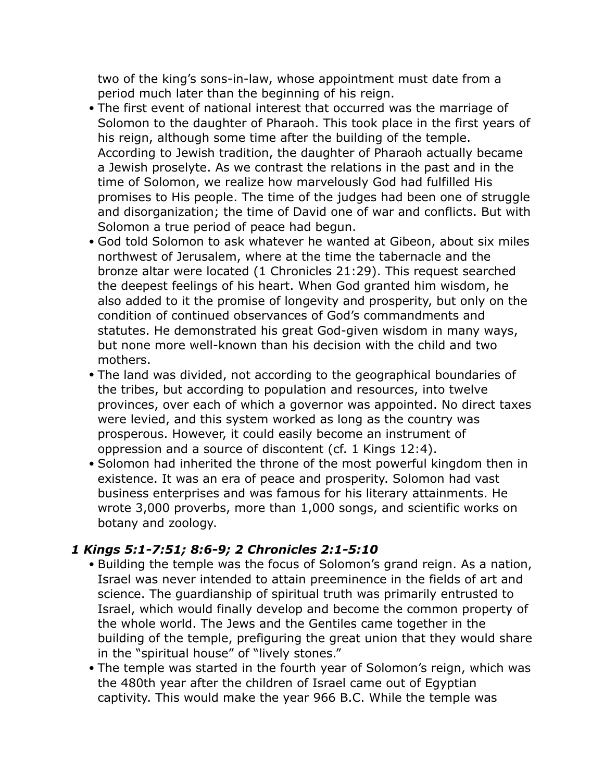two of the king's sons-in-law, whose appointment must date from a period much later than the beginning of his reign.

- The first event of national interest that occurred was the marriage of Solomon to the daughter of Pharaoh. This took place in the first years of his reign, although some time after the building of the temple. According to Jewish tradition, the daughter of Pharaoh actually became a Jewish proselyte. As we contrast the relations in the past and in the time of Solomon, we realize how marvelously God had fulfilled His promises to His people. The time of the judges had been one of struggle and disorganization; the time of David one of war and conflicts. But with Solomon a true period of peace had begun.
- God told Solomon to ask whatever he wanted at Gibeon, about six miles northwest of Jerusalem, where at the time the tabernacle and the bronze altar were located (1 Chronicles 21:29). This request searched the deepest feelings of his heart. When God granted him wisdom, he also added to it the promise of longevity and prosperity, but only on the condition of continued observances of God's commandments and statutes. He demonstrated his great God-given wisdom in many ways, but none more well-known than his decision with the child and two mothers.
- The land was divided, not according to the geographical boundaries of the tribes, but according to population and resources, into twelve provinces, over each of which a governor was appointed. No direct taxes were levied, and this system worked as long as the country was prosperous. However, it could easily become an instrument of oppression and a source of discontent (cf. 1 Kings 12:4).
- Solomon had inherited the throne of the most powerful kingdom then in existence. It was an era of peace and prosperity. Solomon had vast business enterprises and was famous for his literary attainments. He wrote 3,000 proverbs, more than 1,000 songs, and scientific works on botany and zoology.

#### *1 Kings 5:1-7:51; 8:6-9; 2 Chronicles 2:1-5:10*

- Building the temple was the focus of Solomon's grand reign. As a nation, Israel was never intended to attain preeminence in the fields of art and science. The guardianship of spiritual truth was primarily entrusted to Israel, which would finally develop and become the common property of the whole world. The Jews and the Gentiles came together in the building of the temple, prefiguring the great union that they would share in the "spiritual house" of "lively stones."
- The temple was started in the fourth year of Solomon's reign, which was the 480th year after the children of Israel came out of Egyptian captivity. This would make the year 966 B.C. While the temple was